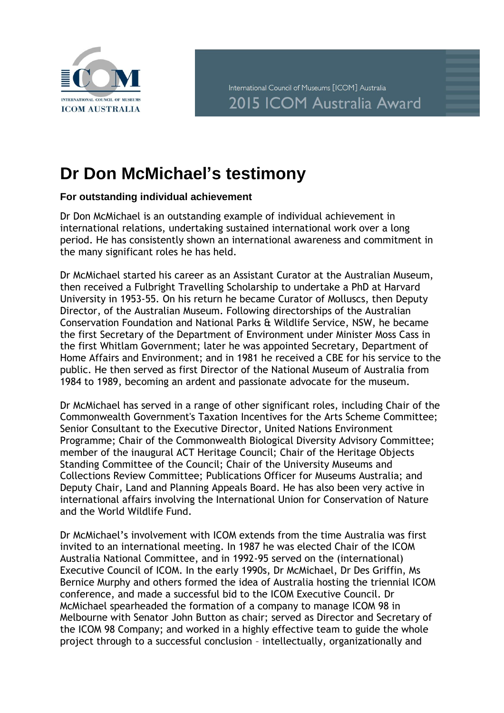

## **Dr Don McMichael's testimony**

## **For outstanding individual achievement**

Dr Don McMichael is an outstanding example of individual achievement in international relations, undertaking sustained international work over a long period. He has consistently shown an international awareness and commitment in the many significant roles he has held.

Dr McMichael started his career as an Assistant Curator at the Australian Museum, then received a Fulbright Travelling Scholarship to undertake a PhD at Harvard University in 1953-55. On his return he became Curator of Molluscs, then Deputy Director, of the Australian Museum. Following directorships of the Australian Conservation Foundation and National Parks & Wildlife Service, NSW, he became the first Secretary of the Department of Environment under Minister Moss Cass in the first Whitlam Government; later he was appointed Secretary, Department of Home Affairs and Environment; and in 1981 he received a CBE for his service to the public. He then served as first Director of the National Museum of Australia from 1984 to 1989, becoming an ardent and passionate advocate for the museum.

Dr McMichael has served in a range of other significant roles, including Chair of the Commonwealth Government's Taxation Incentives for the Arts Scheme Committee; Senior Consultant to the Executive Director, United Nations Environment Programme; Chair of the Commonwealth Biological Diversity Advisory Committee; member of the inaugural ACT Heritage Council; Chair of the Heritage Objects Standing Committee of the Council; Chair of the University Museums and Collections Review Committee; Publications Officer for Museums Australia; and Deputy Chair, Land and Planning Appeals Board. He has also been very active in international affairs involving the International Union for Conservation of Nature and the World Wildlife Fund.

Dr McMichael's involvement with ICOM extends from the time Australia was first invited to an international meeting. In 1987 he was elected Chair of the ICOM Australia National Committee, and in 1992-95 served on the (international) Executive Council of ICOM. In the early 1990s, Dr McMichael, Dr Des Griffin, Ms Bernice Murphy and others formed the idea of Australia hosting the triennial ICOM conference, and made a successful bid to the ICOM Executive Council. Dr McMichael spearheaded the formation of a company to manage ICOM 98 in Melbourne with Senator John Button as chair; served as Director and Secretary of the ICOM 98 Company; and worked in a highly effective team to guide the whole project through to a successful conclusion – intellectually, organizationally and